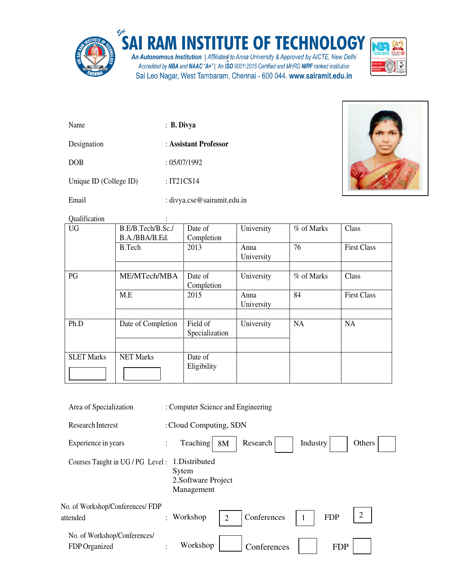

## SAI RAM INSTITUTE OF TECHNOLOGY

An Autonomous Institution | Affiliated to Anna University & Approved by AICTE, New Delhi<br>Accredited by NBA and NAAC "A+" | An ISO 9001:2015 Certified and MHRD NIRF ranked institution Sai Leo Nagar, West Tambaram, Chennai - 600 044. www.sairamit.edu.in



| Name                   | $\therefore$ B. Divya |
|------------------------|-----------------------|
| Designation            | : Assistant Professor |
| <b>DOB</b>             | : 05/07/1992          |
| Unique ID (College ID) | : IT21CS14            |



Email : divya.cse@sairamit.edu.in

| Qualification     |                    |                |            |            |                    |
|-------------------|--------------------|----------------|------------|------------|--------------------|
| <b>UG</b>         | B.E/B.Tech/B.Sc./  | Date of        | University | % of Marks | Class              |
|                   | B.A./BBA/B.Ed.     | Completion     |            |            |                    |
|                   | B.Tech             | 2013           | Anna       | 76         | <b>First Class</b> |
|                   |                    |                | University |            |                    |
|                   |                    |                |            |            |                    |
| PG                | ME/MTech/MBA       | Date of        | University | % of Marks | Class              |
|                   |                    | Completion     |            |            |                    |
|                   | M.E                | 2015           | Anna       | 84         | <b>First Class</b> |
|                   |                    |                | University |            |                    |
|                   |                    |                |            |            |                    |
| Ph.D              | Date of Completion | Field of       | University | <b>NA</b>  | <b>NA</b>          |
|                   |                    | Specialization |            |            |                    |
|                   |                    |                |            |            |                    |
| <b>SLET Marks</b> | <b>NET Marks</b>   | Date of        |            |            |                    |
|                   |                    | Eligibility    |            |            |                    |
|                   |                    |                |            |            |                    |

| Area of Specialization                        | : Computer Science and Engineering                                             |  |
|-----------------------------------------------|--------------------------------------------------------------------------------|--|
| <b>Research Interest</b>                      | : Cloud Computing, SDN                                                         |  |
| Experience in years                           | Teaching<br>Industry<br>Research<br>Others<br>8M<br>$\ddot{\cdot}$             |  |
| Courses Taught in UG / PG Level :             | 1.Distributed<br>Sytem<br>2. Software Project<br>Management                    |  |
| No. of Workshop/Conferences/ FDP<br>attended  | 2<br><b>FDP</b><br>Conferences<br>: Workshop<br>$\overline{2}$<br>$\mathbf{1}$ |  |
| No. of Workshop/Conferences/<br>FDP Organized | Workshop<br>Conferences<br><b>FDP</b><br>$\bullet$                             |  |